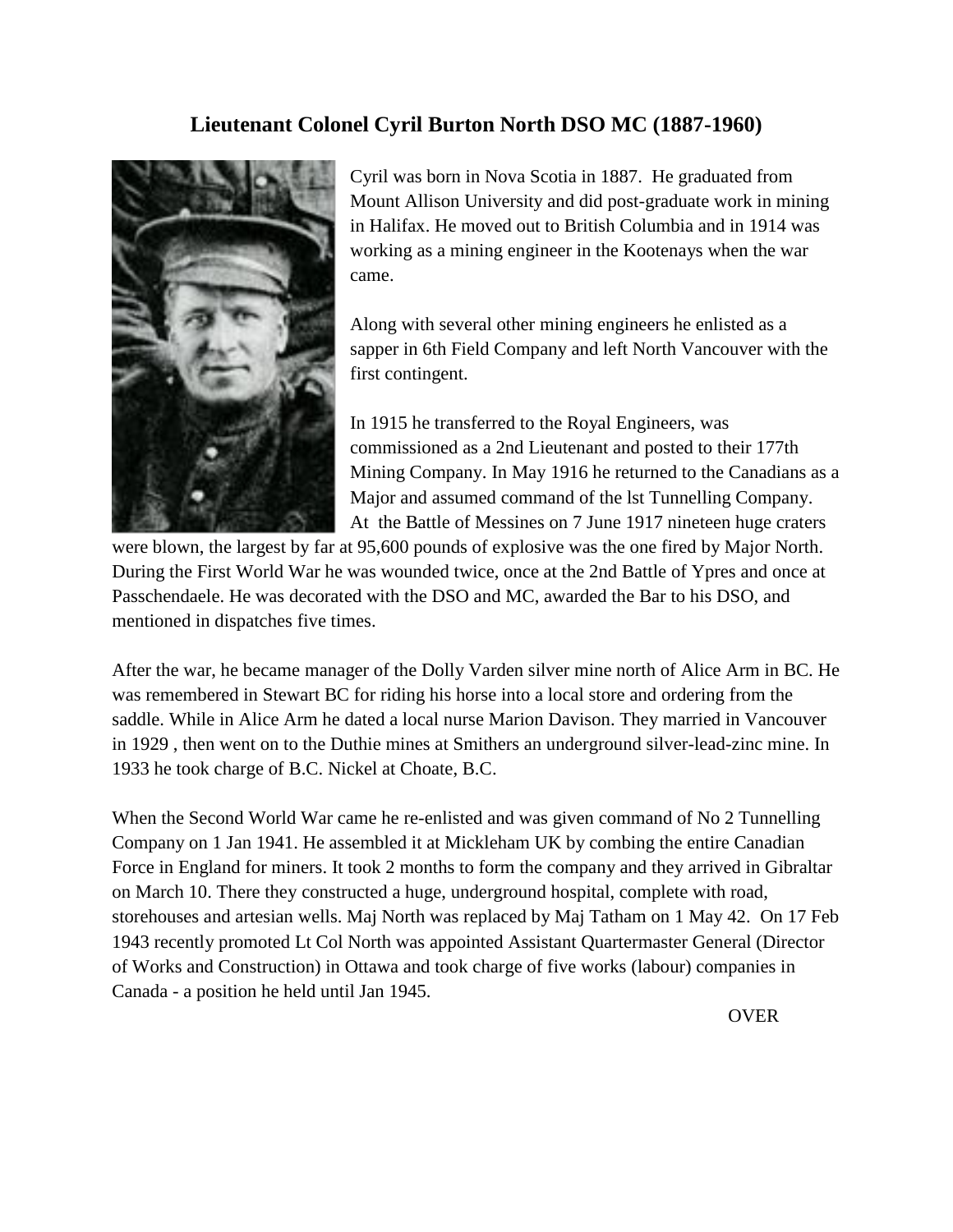## **Lieutenant Colonel Cyril Burton North DSO MC (1887-1960)**



Cyril was born in Nova Scotia in 1887. He graduated from Mount Allison University and did post-graduate work in mining in Halifax. He moved out to British Columbia and in 1914 was working as a mining engineer in the Kootenays when the war came.

Along with several other mining engineers he enlisted as a sapper in 6th Field Company and left North Vancouver with the first contingent.

In 1915 he transferred to the Royal Engineers, was commissioned as a 2nd Lieutenant and posted to their 177th Mining Company. In May 1916 he returned to the Canadians as a Major and assumed command of the lst Tunnelling Company. At the Battle of Messines on 7 June 1917 nineteen huge craters

were blown, the largest by far at 95,600 pounds of explosive was the one fired by Major North. During the First World War he was wounded twice, once at the 2nd Battle of Ypres and once at Passchendaele. He was decorated with the DSO and MC, awarded the Bar to his DSO, and mentioned in dispatches five times.

After the war, he became manager of the Dolly Varden silver mine north of Alice Arm in BC. He was remembered in Stewart BC for riding his horse into a local store and ordering from the saddle. While in Alice Arm he dated a local nurse Marion Davison. They married in Vancouver in 1929 , then went on to the Duthie mines at Smithers an underground silver-lead-zinc mine. In 1933 he took charge of B.C. Nickel at Choate, B.C.

When the Second World War came he re-enlisted and was given command of No 2 Tunnelling Company on 1 Jan 1941. He assembled it at Mickleham UK by combing the entire Canadian Force in England for miners. It took 2 months to form the company and they arrived in Gibraltar on March 10. There they constructed a huge, underground hospital, complete with road, storehouses and artesian wells. Maj North was replaced by Maj Tatham on 1 May 42. On 17 Feb 1943 recently promoted Lt Col North was appointed Assistant Quartermaster General (Director of Works and Construction) in Ottawa and took charge of five works (labour) companies in Canada - a position he held until Jan 1945.

OVER